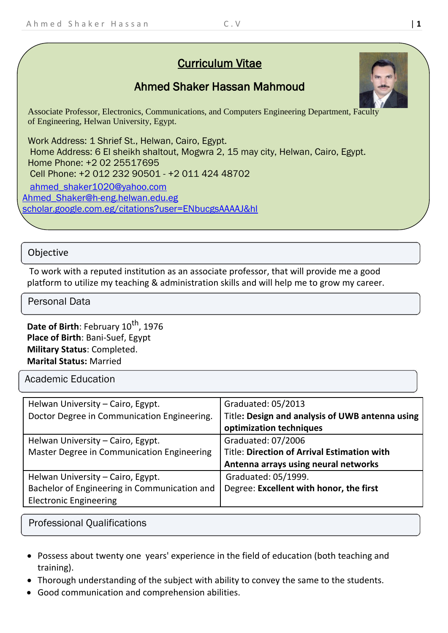# Curriculum Vitae

# Ahmed Shaker Hassan Mahmoud

Associate Professor, Electronics, Communications, and Computers Engineering Department, Faculty of Engineering, Helwan University, Egypt.

Work Address: 1 Shrief St., Helwan, Cairo, Egypt. Home Address: 6 El sheikh shaltout, Mogwra 2, 15 may city, Helwan, Cairo, Egypt. Home Phone: +2 02 25517695 Cell Phone: +2 012 232 90501 - +2 011 424 48702 [ahmed\\_shaker1020@yahoo.com](mailto:ahmed_shaker1020@yahoo.com) [Ahmed\\_Shaker@h-eng.helwan.edu.eg](mailto:Ahmed_Shaker@h-eng.helwan.edu.eg) scholar.google.com.eg/citations?user=ENbucgsAAAAJ&hl

### **Objective**

To work with a reputed institution as an associate professor, that will provide me a good platform to utilize my teaching & administration skills and will help me to grow my career.

#### Personal Data

Date of Birth: February 10<sup>th</sup>, 1976 **Place of Birth**: Bani-Suef, Egypt **Military Status**: Completed. **Marital Status:** Married

Academic Education

| Graduated: 05/2013                                 |  |
|----------------------------------------------------|--|
| Title: Design and analysis of UWB antenna using    |  |
| optimization techniques                            |  |
| Graduated: 07/2006                                 |  |
| <b>Title: Direction of Arrival Estimation with</b> |  |
| Antenna arrays using neural networks               |  |
| Graduated: 05/1999.                                |  |
| Degree: Excellent with honor, the first            |  |
|                                                    |  |
|                                                    |  |

Professional Qualifications

- Possess about twenty one years' experience in the field of education (both teaching and training).
- Thorough understanding of the subject with ability to convey the same to the students.
- Good communication and comprehension abilities.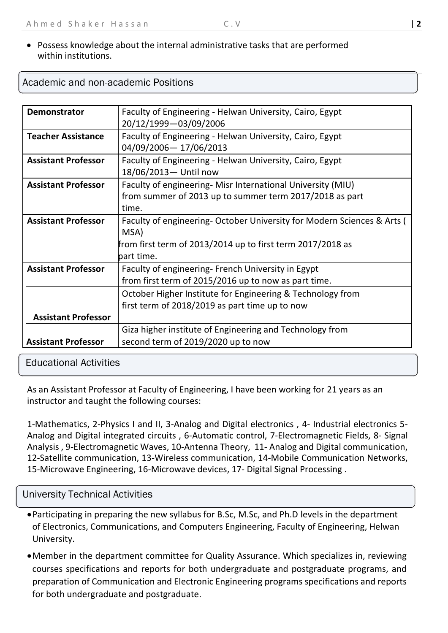### • Possess knowledge about the internal administrative tasks that are performed within institutions.

| within institutions.                |  |
|-------------------------------------|--|
| Academic and non-academic Positions |  |

| <b>Demonstrator</b>        | Faculty of Engineering - Helwan University, Cairo, Egypt               |  |  |  |
|----------------------------|------------------------------------------------------------------------|--|--|--|
|                            |                                                                        |  |  |  |
|                            | 20/12/1999-03/09/2006                                                  |  |  |  |
| <b>Teacher Assistance</b>  | Faculty of Engineering - Helwan University, Cairo, Egypt               |  |  |  |
|                            | 04/09/2006-17/06/2013                                                  |  |  |  |
| <b>Assistant Professor</b> | Faculty of Engineering - Helwan University, Cairo, Egypt               |  |  |  |
|                            | 18/06/2013- Until now                                                  |  |  |  |
| <b>Assistant Professor</b> | Faculty of engineering- Misr International University (MIU)            |  |  |  |
|                            | from summer of 2013 up to summer term 2017/2018 as part                |  |  |  |
|                            | time.                                                                  |  |  |  |
| <b>Assistant Professor</b> | Faculty of engineering-October University for Modern Sciences & Arts ( |  |  |  |
|                            | MSA)                                                                   |  |  |  |
|                            | from first term of 2013/2014 up to first term 2017/2018 as             |  |  |  |
|                            | part time.                                                             |  |  |  |
| <b>Assistant Professor</b> | Faculty of engineering- French University in Egypt                     |  |  |  |
|                            | from first term of 2015/2016 up to now as part time.                   |  |  |  |
|                            | October Higher Institute for Engineering & Technology from             |  |  |  |
|                            | first term of 2018/2019 as part time up to now                         |  |  |  |
| <b>Assistant Professor</b> |                                                                        |  |  |  |
|                            | Giza higher institute of Engineering and Technology from               |  |  |  |
| <b>Assistant Professor</b> | second term of 2019/2020 up to now                                     |  |  |  |

#### Educational Activities

As an Assistant Professor at Faculty of Engineering, I have been working for 21 years as an instructor and taught the following courses:

1-Mathematics, 2-Physics I and II, 3-Analog and Digital electronics , 4- Industrial electronics 5- Analog and Digital integrated circuits , 6-Automatic control, 7-Electromagnetic Fields, 8- Signal Analysis , 9-Electromagnetic Waves, 10-Antenna Theory, 11- Analog and Digital communication, 12-Satellite communication, 13-Wireless communication, 14-Mobile Communication Networks, 15-Microwave Engineering, 16-Microwave devices, 17- Digital Signal Processing .

#### University Technical Activities

- •Participating in preparing the new syllabus for B.Sc, M.Sc, and Ph.D levels in the department of Electronics, Communications, and Computers Engineering, Faculty of Engineering, Helwan University.
- •Member in the department committee for Quality Assurance. Which specializes in, reviewing courses specifications and reports for both undergraduate and postgraduate programs, and preparation of Communication and Electronic Engineering programs specifications and reports for both undergraduate and postgraduate.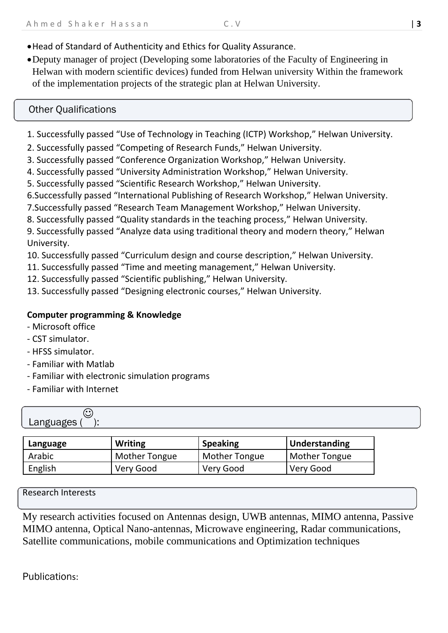- •Head of Standard of Authenticity and Ethics for Quality Assurance
- •Deputy manager of project (Developing some laboratories of the Faculty of Engineering in Helwan with modern scientific devices) funded from Helwan university Within the framework of the implementation projects of the strategic plan at Helwan University.

# Other Qualifications

- 1. Successfully passed "Use of Technology in Teaching (ICTP) Workshop," Helwan University.
- 2. Successfully passed "Competing of Research Funds," Helwan University.
- 3. Successfully passed "Conference Organization Workshop," Helwan University.
- 4. Successfully passed "University Administration Workshop," Helwan University.
- 5. Successfully passed "Scientific Research Workshop," Helwan University.
- 6.Successfully passed "International Publishing of Research Workshop," Helwan University.
- 7.Successfully passed "Research Team Management Workshop," Helwan University.
- 8. Successfully passed "Quality standards in the teaching process," Helwan University.

9. Successfully passed "Analyze data using traditional theory and modern theory," Helwan University.

10. Successfully passed "Curriculum design and course description," Helwan University.

- 11. Successfully passed "Time and meeting management," Helwan University.
- 12. Successfully passed "Scientific publishing," Helwan University.
- 13. Successfully passed "Designing electronic courses," Helwan University.

## **Computer programming & Knowledge**

- Microsoft office
- CST simulator.
- HFSS simulator.
- Familiar with Matlab
- Familiar with electronic simulation programs
- Familiar with Internet

| Language | <b>Writing</b>       | <b>Speaking</b> | Understanding        |
|----------|----------------------|-----------------|----------------------|
| Arabic   | <b>Mother Tongue</b> | Mother Tongue   | <b>Mother Tongue</b> |
| English  | Very Good            | Very Good       | Very Good            |

Research Interests

My research activities focused on Antennas design, UWB antennas, MIMO antenna, Passive MIMO antenna, Optical Nano-antennas, Microwave engineering, Radar communications, Satellite communications, mobile communications and Optimization techniques

Publications: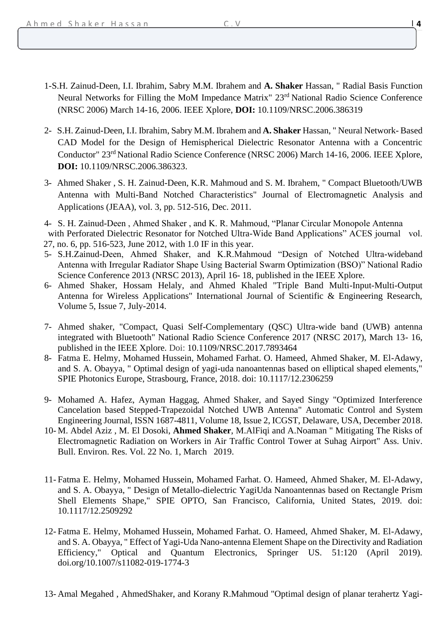- 2- S.H. Zainud-Deen, I.I. Ibrahim, Sabry M.M. Ibrahem and **A. Shaker** Hassan, " Neural Network- Based CAD Model for the Design of Hemispherical Dielectric Resonator Antenna with a Concentric Conductor" 23rd National Radio Science Conference (NRSC 2006) March 14-16, 2006. IEEE Xplore, **DOI:** [10.1109/NRSC.2006.386323.](https://doi.org/10.1109/NRSC.2006.386323)
- 3- Ahmed Shaker , S. H. Zainud-Deen, K.R. Mahmoud and S. M. Ibrahem, " Compact Bluetooth/UWB Antenna with Multi-Band Notched Characteristics" Journal of Electromagnetic Analysis and Applications (JEAA), vol. 3, pp. 512-516, Dec. 2011.
- 4- S. H. Zainud-Deen , Ahmed Shaker , and K. R. Mahmoud, "Planar Circular Monopole Antenna
- with Perforated Dielectric Resonator for Notched Ultra-Wide Band Applications" ACES journal vol. 27, no. 6, pp. 516-523, June 2012, with 1.0 IF in this year.
- 5- S.H.Zainud-Deen, Ahmed Shaker, and K.R.Mahmoud "Design of Notched Ultra-wideband Antenna with Irregular Radiator Shape Using Bacterial Swarm Optimization (BSO)" National Radio Science Conference 2013 (NRSC 2013), April 16- 18, published in the IEEE Xplore.
- 6- Ahmed Shaker, Hossam Helaly, and Ahmed Khaled "Triple Band Multi-Input-Multi-Output Antenna for Wireless Applications" International Journal of Scientific & Engineering Research, Volume 5, Issue 7, July-2014.
- 7- Ahmed shaker, "Compact, Quasi Self-Complementary (QSC) Ultra-wide band (UWB) antenna integrated with Bluetooth" National Radio Science Conference 2017 (NRSC 2017), March 13- 16, published in the IEEE Xplore. Doi: [10.1109/NRSC.2017.7893464](https://doi.org/10.1109/NRSC.2017.7893464)
- 8- Fatma E. Helmy, Mohamed Hussein, Mohamed Farhat. O. Hameed, Ahmed Shaker, M. El-Adawy, and S. A. Obayya, " Optimal design of yagi-uda nanoantennas based on elliptical shaped elements," SPIE Photonics Europe, Strasbourg, France, 2018. doi: 10.1117/12.2306259
- 9- Mohamed A. Hafez, Ayman Haggag, Ahmed Shaker, and Sayed Singy "Optimized Interference Cancelation based Stepped-Trapezoidal Notched UWB Antenna" Automatic Control and System Engineering Journal, ISSN 1687-4811, Volume 18, Issue 2, ICGST, Delaware, USA, December 2018.
- 10- M. Abdel Aziz , M. El Dosoki, **Ahmed Shaker**, M.AlFiqi and A.Noaman " Mitigating The Risks of Electromagnetic Radiation on Workers in Air Traffic Control Tower at Suhag Airport" Ass. Univ. Bull. Environ. Res. Vol. 22 No. 1, March 2019.
- 11- Fatma E. Helmy, Mohamed Hussein, Mohamed Farhat. O. Hameed, Ahmed Shaker, M. El-Adawy, and S. A. Obayya, " Design of Metallo-dielectric YagiUda Nanoantennas based on Rectangle Prism Shell Elements Shape," SPIE OPTO, San Francisco, California, United States, 2019. doi: 10.1117/12.2509292
- 12- Fatma E. Helmy, Mohamed Hussein, Mohamed Farhat. O. Hameed, Ahmed Shaker, M. El-Adawy, and S. A. Obayya, " Effect of Yagi-Uda Nano-antenna Element Shape on the Directivity and Radiation Efficiency," Optical and Quantum Electronics, Springer US. 51:120 (April 2019). doi.org/10.1007/s11082-019-1774-3